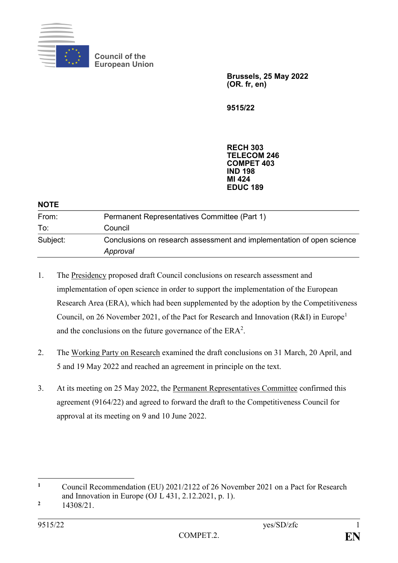

**Council of the European Union**

> **Brussels, 25 May 2022 (OR. fr, en)**

**9515/22**

**RECH 303 TELECOM 246 COMPET 403 IND 198 MI 424 EDUC 189**

| <b>NOTE</b> |                                                                                   |
|-------------|-----------------------------------------------------------------------------------|
| From:       | Permanent Representatives Committee (Part 1)                                      |
| To:         | Council                                                                           |
| Subject:    | Conclusions on research assessment and implementation of open science<br>Approval |

- 1. The Presidency proposed draft Council conclusions on research assessment and implementation of open science in order to support the implementation of the European Research Area (ERA), which had been supplemented by the adoption by the Competitiveness Council, on 26 November 2021, of the Pact for Research and Innovation (R&I) in Europe<sup>1</sup> and the conclusions on the future governance of the  $ERA^2$ .
- 2. The Working Party on Research examined the draft conclusions on 31 March, 20 April, and 5 and 19 May 2022 and reached an agreement in principle on the text.
- 3. At its meeting on 25 May 2022, the Permanent Representatives Committee confirmed this agreement (9164/22) and agreed to forward the draft to the Competitiveness Council for approval at its meeting on 9 and 10 June 2022.

1

**<sup>1</sup>** Council Recommendation (EU) 2021/2122 of 26 November 2021 on a Pact for Research and Innovation in Europe (OJ L 431, 2.12.2021, p. 1).

**<sup>2</sup>** 14308/21.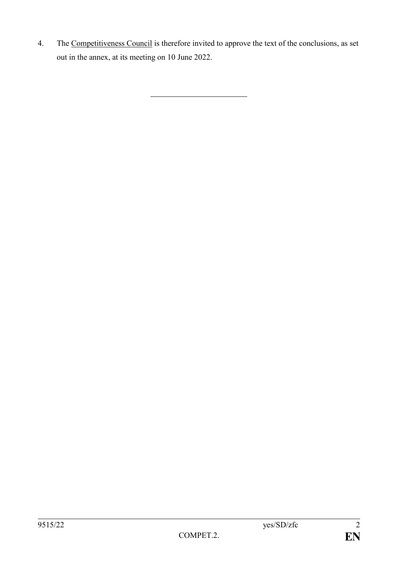4. The Competitiveness Council is therefore invited to approve the text of the conclusions, as set out in the annex, at its meeting on 10 June 2022.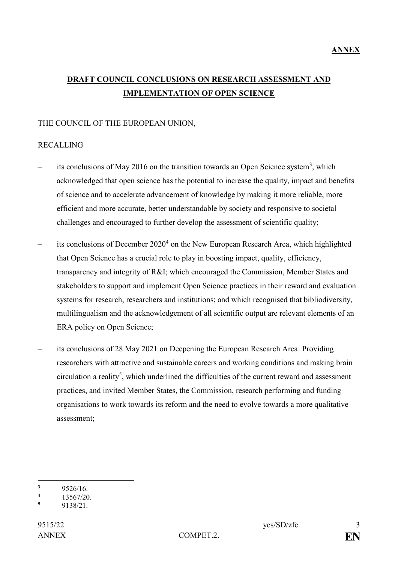# **DRAFT COUNCIL CONCLUSIONS ON RESEARCH ASSESSMENT AND IMPLEMENTATION OF OPEN SCIENCE**

### THE COUNCIL OF THE EUROPEAN UNION,

### RECALLING

- its conclusions of May 2016 on the transition towards an Open Science system<sup>3</sup>, which acknowledged that open science has the potential to increase the quality, impact and benefits of science and to accelerate advancement of knowledge by making it more reliable, more efficient and more accurate, better understandable by society and responsive to societal challenges and encouraged to further develop the assessment of scientific quality;
- $-$  its conclusions of December 2020<sup>4</sup> on the New European Research Area, which highlighted that Open Science has a crucial role to play in boosting impact, quality, efficiency, transparency and integrity of R&I; which encouraged the Commission, Member States and stakeholders to support and implement Open Science practices in their reward and evaluation systems for research, researchers and institutions; and which recognised that bibliodiversity, multilingualism and the acknowledgement of all scientific output are relevant elements of an ERA policy on Open Science;
- its conclusions of 28 May 2021 on Deepening the European Research Area: Providing researchers with attractive and sustainable careers and working conditions and making brain  $circulation$  a reality<sup>5</sup>, which underlined the difficulties of the current reward and assessment practices, and invited Member States, the Commission, research performing and funding organisations to work towards its reform and the need to evolve towards a more qualitative assessment;

<sup>1</sup>  $\frac{3}{4}$  9526/16.

 $\frac{4}{5}$  13567/20.

**<sup>5</sup>** 9138/21.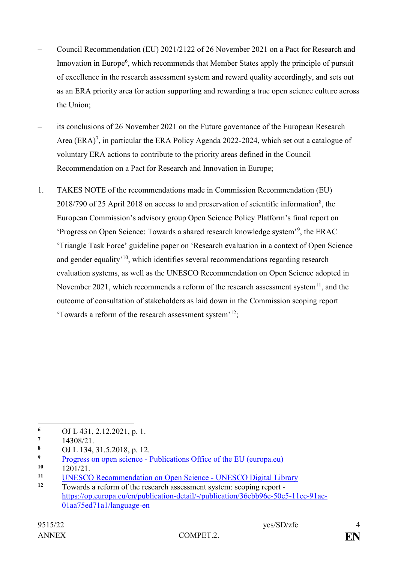- Council Recommendation (EU) 2021/2122 of 26 November 2021 on a Pact for Research and Innovation in Europe<sup>6</sup>, which recommends that Member States apply the principle of pursuit of excellence in the research assessment system and reward quality accordingly, and sets out as an ERA priority area for action supporting and rewarding a true open science culture across the Union;
- its conclusions of 26 November 2021 on the Future governance of the European Research Area  $(ERA)^7$ , in particular the ERA Policy Agenda 2022-2024, which set out a catalogue of voluntary ERA actions to contribute to the priority areas defined in the Council Recommendation on a Pact for Research and Innovation in Europe;
- 1. TAKES NOTE of the recommendations made in Commission Recommendation (EU)  $2018/790$  of 25 April 2018 on access to and preservation of scientific information<sup>8</sup>, the European Commission's advisory group Open Science Policy Platform's final report on 'Progress on Open Science: Towards a shared research knowledge system'<sup>9</sup> , the ERAC 'Triangle Task Force' guideline paper on 'Research evaluation in a context of Open Science and gender equality<sup>10</sup>, which identifies several recommendations regarding research evaluation systems, as well as the UNESCO Recommendation on Open Science adopted in November 2021, which recommends a reform of the research assessment system $^{11}$ , and the outcome of consultation of stakeholders as laid down in the Commission scoping report 'Towards a reform of the research assessment system'<sup>12</sup>;

<sup>1</sup> 6 OJ L 431, 2.12.2021, p. 1.

**<sup>7</sup>** 14308/21.

**<sup>8</sup>** OJ L 134, 31.5.2018, p. 12.

**Progress on open science - [Publications Office of the EU \(europa.eu\)](https://op.europa.eu/en/publication-detail/-/publication/d36f8071-99bd-11ea-aac4-01aa75ed71a1)**<br>10 1201/21

<sup>10 1201/21.</sup> 

<sup>&</sup>lt;sup>11</sup> [UNESCO Recommendation on Open Science -](https://unesdoc.unesco.org/ark:/48223/pf0000379949.locale=en) UNESCO Digital Library<br><sup>12</sup> Towards a reform of the research assessment system: seeing report

**<sup>12</sup>** Towards a reform of the research assessment system: scoping report [https://op.europa.eu/en/publication-detail/-/publication/36ebb96c-50c5-11ec-91ac-](https://op.europa.eu/en/publication-detail/-/publication/36ebb96c-50c5-11ec-91ac-01aa75ed71a1/language-en)[01aa75ed71a1/language-en](https://op.europa.eu/en/publication-detail/-/publication/36ebb96c-50c5-11ec-91ac-01aa75ed71a1/language-en)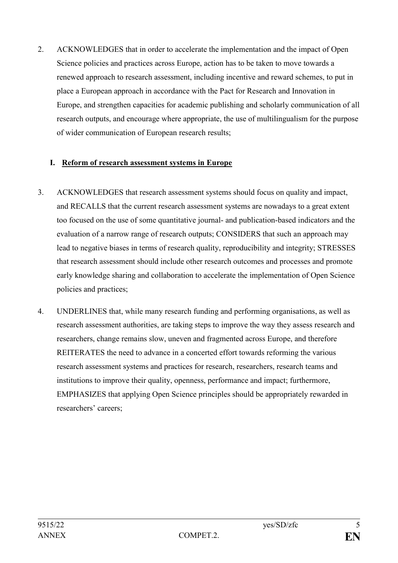2. ACKNOWLEDGES that in order to accelerate the implementation and the impact of Open Science policies and practices across Europe, action has to be taken to move towards a renewed approach to research assessment, including incentive and reward schemes, to put in place a European approach in accordance with the Pact for Research and Innovation in Europe, and strengthen capacities for academic publishing and scholarly communication of all research outputs, and encourage where appropriate, the use of multilingualism for the purpose of wider communication of European research results;

### **I. Reform of research assessment systems in Europe**

- 3. ACKNOWLEDGES that research assessment systems should focus on quality and impact, and RECALLS that the current research assessment systems are nowadays to a great extent too focused on the use of some quantitative journal- and publication-based indicators and the evaluation of a narrow range of research outputs; CONSIDERS that such an approach may lead to negative biases in terms of research quality, reproducibility and integrity; STRESSES that research assessment should include other research outcomes and processes and promote early knowledge sharing and collaboration to accelerate the implementation of Open Science policies and practices;
- 4. UNDERLINES that, while many research funding and performing organisations, as well as research assessment authorities, are taking steps to improve the way they assess research and researchers, change remains slow, uneven and fragmented across Europe, and therefore REITERATES the need to advance in a concerted effort towards reforming the various research assessment systems and practices for research, researchers, research teams and institutions to improve their quality, openness, performance and impact; furthermore, EMPHASIZES that applying Open Science principles should be appropriately rewarded in researchers' careers;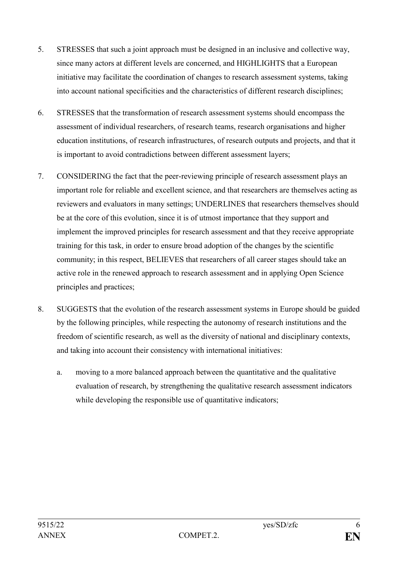- 5. STRESSES that such a joint approach must be designed in an inclusive and collective way, since many actors at different levels are concerned, and HIGHLIGHTS that a European initiative may facilitate the coordination of changes to research assessment systems, taking into account national specificities and the characteristics of different research disciplines;
- 6. STRESSES that the transformation of research assessment systems should encompass the assessment of individual researchers, of research teams, research organisations and higher education institutions, of research infrastructures, of research outputs and projects, and that it is important to avoid contradictions between different assessment layers;
- 7. CONSIDERING the fact that the peer-reviewing principle of research assessment plays an important role for reliable and excellent science, and that researchers are themselves acting as reviewers and evaluators in many settings; UNDERLINES that researchers themselves should be at the core of this evolution, since it is of utmost importance that they support and implement the improved principles for research assessment and that they receive appropriate training for this task, in order to ensure broad adoption of the changes by the scientific community; in this respect, BELIEVES that researchers of all career stages should take an active role in the renewed approach to research assessment and in applying Open Science principles and practices;
- 8. SUGGESTS that the evolution of the research assessment systems in Europe should be guided by the following principles, while respecting the autonomy of research institutions and the freedom of scientific research, as well as the diversity of national and disciplinary contexts, and taking into account their consistency with international initiatives:
	- a. moving to a more balanced approach between the quantitative and the qualitative evaluation of research, by strengthening the qualitative research assessment indicators while developing the responsible use of quantitative indicators;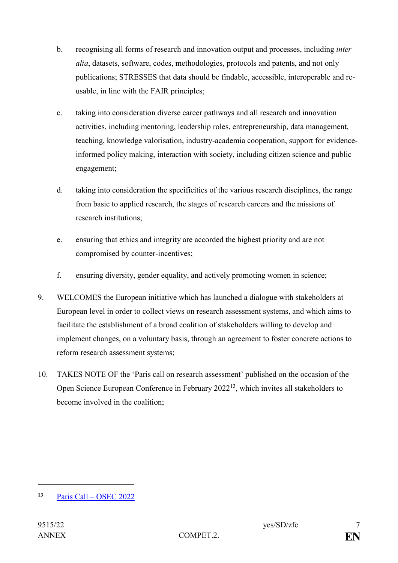- b. recognising all forms of research and innovation output and processes, including *inter alia*, datasets, software, codes, methodologies, protocols and patents, and not only publications; STRESSES that data should be findable, accessible, interoperable and reusable, in line with the FAIR principles;
- c. taking into consideration diverse career pathways and all research and innovation activities, including mentoring, leadership roles, entrepreneurship, data management, teaching, knowledge valorisation, industry-academia cooperation, support for evidenceinformed policy making, interaction with society, including citizen science and public engagement;
- d. taking into consideration the specificities of the various research disciplines, the range from basic to applied research, the stages of research careers and the missions of research institutions;
- e. ensuring that ethics and integrity are accorded the highest priority and are not compromised by counter-incentives;
- f. ensuring diversity, gender equality, and actively promoting women in science;
- 9. WELCOMES the European initiative which has launched a dialogue with stakeholders at European level in order to collect views on research assessment systems, and which aims to facilitate the establishment of a broad coalition of stakeholders willing to develop and implement changes, on a voluntary basis, through an agreement to foster concrete actions to reform research assessment systems;
- 10. TAKES NOTE OF the 'Paris call on research assessment' published on the occasion of the Open Science European Conference in February 2022<sup>13</sup>, which invites all stakeholders to become involved in the coalition;

1

**<sup>13</sup>** Paris Call – [OSEC 2022](https://osec2022.eu/paris-call/)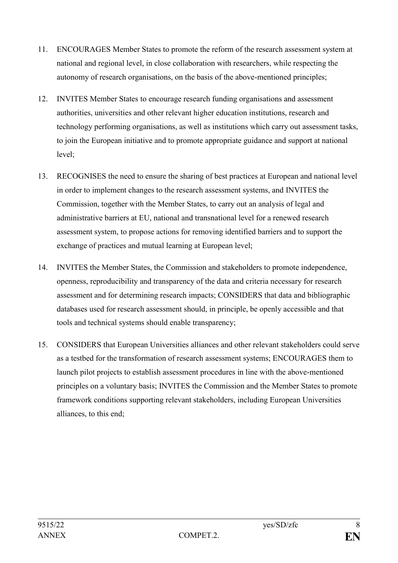- 11. ENCOURAGES Member States to promote the reform of the research assessment system at national and regional level, in close collaboration with researchers, while respecting the autonomy of research organisations, on the basis of the above-mentioned principles;
- 12. INVITES Member States to encourage research funding organisations and assessment authorities, universities and other relevant higher education institutions, research and technology performing organisations, as well as institutions which carry out assessment tasks, to join the European initiative and to promote appropriate guidance and support at national level;
- 13. RECOGNISES the need to ensure the sharing of best practices at European and national level in order to implement changes to the research assessment systems, and INVITES the Commission, together with the Member States, to carry out an analysis of legal and administrative barriers at EU, national and transnational level for a renewed research assessment system, to propose actions for removing identified barriers and to support the exchange of practices and mutual learning at European level;
- 14. INVITES the Member States, the Commission and stakeholders to promote independence, openness, reproducibility and transparency of the data and criteria necessary for research assessment and for determining research impacts; CONSIDERS that data and bibliographic databases used for research assessment should, in principle, be openly accessible and that tools and technical systems should enable transparency;
- 15. CONSIDERS that European Universities alliances and other relevant stakeholders could serve as a testbed for the transformation of research assessment systems; ENCOURAGES them to launch pilot projects to establish assessment procedures in line with the above-mentioned principles on a voluntary basis; INVITES the Commission and the Member States to promote framework conditions supporting relevant stakeholders, including European Universities alliances, to this end;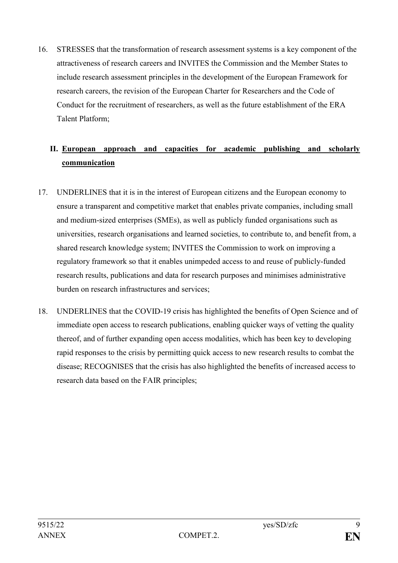16. STRESSES that the transformation of research assessment systems is a key component of the attractiveness of research careers and INVITES the Commission and the Member States to include research assessment principles in the development of the European Framework for research careers, the revision of the European Charter for Researchers and the Code of Conduct for the recruitment of researchers, as well as the future establishment of the ERA Talent Platform;

# **II. European approach and capacities for academic publishing and scholarly communication**

- 17. UNDERLINES that it is in the interest of European citizens and the European economy to ensure a transparent and competitive market that enables private companies, including small and medium-sized enterprises (SMEs), as well as publicly funded organisations such as universities, research organisations and learned societies, to contribute to, and benefit from, a shared research knowledge system; INVITES the Commission to work on improving a regulatory framework so that it enables unimpeded access to and reuse of publicly-funded research results, publications and data for research purposes and minimises administrative burden on research infrastructures and services;
- 18. UNDERLINES that the COVID-19 crisis has highlighted the benefits of Open Science and of immediate open access to research publications, enabling quicker ways of vetting the quality thereof, and of further expanding open access modalities, which has been key to developing rapid responses to the crisis by permitting quick access to new research results to combat the disease; RECOGNISES that the crisis has also highlighted the benefits of increased access to research data based on the FAIR principles;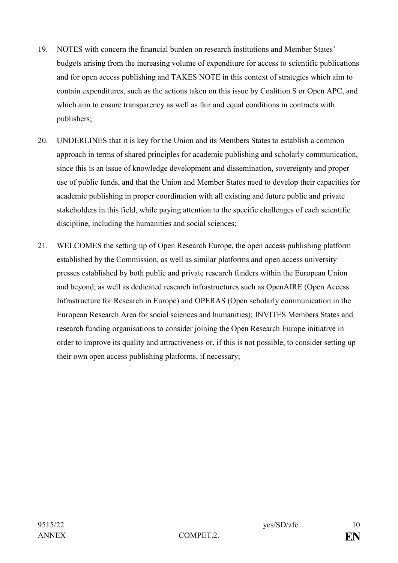- 19. NOTES with concern the financial burden on research institutions and Member States' budgets arising from the increasing volume of expenditure for access to scientific publications and for open access publishing and TAKES NOTE in this context of strategies which aim to contain expenditures, such as the actions taken on this issue by Coalition S or Open APC, and which aim to ensure transparency as well as fair and equal conditions in contracts with publishers;
- 20. UNDERLINES that it is key for the Union and its Members States to establish a common approach in terms of shared principles for academic publishing and scholarly communication, since this is an issue of knowledge development and dissemination, sovereignty and proper use of public funds, and that the Union and Member States need to develop their capacities for academic publishing in proper coordination with all existing and future public and private stakeholders in this field, while paying attention to the specific challenges of each scientific discipline, including the humanities and social sciences;
- 21. WELCOMES the setting up of Open Research Europe, the open access publishing platform established by the Commission, as well as similar platforms and open access university presses established by both public and private research funders within the European Union and beyond, as well as dedicated research infrastructures such as OpenAIRE (Open Access Infrastructure for Research in Europe) and OPERAS (Open scholarly communication in the European Research Area for social sciences and humanities); INVITES Members States and research funding organisations to consider joining the Open Research Europe initiative in order to improve its quality and attractiveness or, if this is not possible, to consider setting up their own open access publishing platforms, if necessary;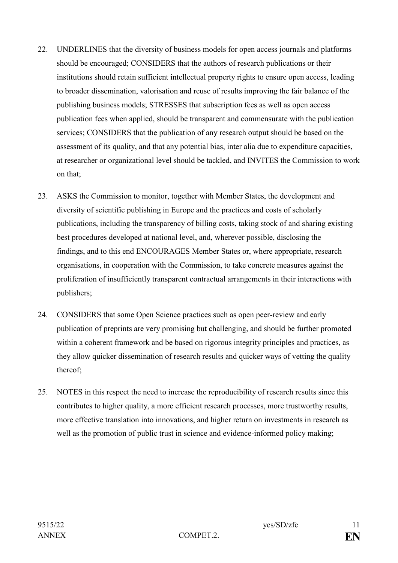- 22. UNDERLINES that the diversity of business models for open access journals and platforms should be encouraged; CONSIDERS that the authors of research publications or their institutions should retain sufficient intellectual property rights to ensure open access, leading to broader dissemination, valorisation and reuse of results improving the fair balance of the publishing business models; STRESSES that subscription fees as well as open access publication fees when applied, should be transparent and commensurate with the publication services; CONSIDERS that the publication of any research output should be based on the assessment of its quality, and that any potential bias, inter alia due to expenditure capacities, at researcher or organizational level should be tackled, and INVITES the Commission to work on that;
- 23. ASKS the Commission to monitor, together with Member States, the development and diversity of scientific publishing in Europe and the practices and costs of scholarly publications, including the transparency of billing costs, taking stock of and sharing existing best procedures developed at national level, and, wherever possible, disclosing the findings, and to this end ENCOURAGES Member States or, where appropriate, research organisations, in cooperation with the Commission, to take concrete measures against the proliferation of insufficiently transparent contractual arrangements in their interactions with publishers;
- 24. CONSIDERS that some Open Science practices such as open peer-review and early publication of preprints are very promising but challenging, and should be further promoted within a coherent framework and be based on rigorous integrity principles and practices, as they allow quicker dissemination of research results and quicker ways of vetting the quality thereof;
- 25. NOTES in this respect the need to increase the reproducibility of research results since this contributes to higher quality, a more efficient research processes, more trustworthy results, more effective translation into innovations, and higher return on investments in research as well as the promotion of public trust in science and evidence-informed policy making;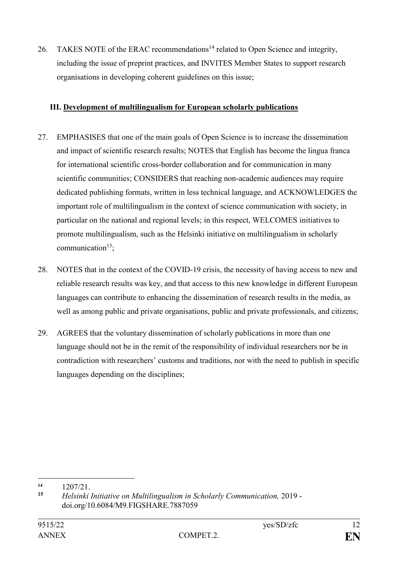26. TAKES NOTE of the ERAC recommendations<sup>14</sup> related to Open Science and integrity, including the issue of preprint practices, and INVITES Member States to support research organisations in developing coherent guidelines on this issue;

## **III. Development of multilingualism for European scholarly publications**

- 27. EMPHASISES that one of the main goals of Open Science is to increase the dissemination and impact of scientific research results; NOTES that English has become the lingua franca for international scientific cross-border collaboration and for communication in many scientific communities; CONSIDERS that reaching non-academic audiences may require dedicated publishing formats, written in less technical language, and ACKNOWLEDGES the important role of multilingualism in the context of science communication with society, in particular on the national and regional levels; in this respect, WELCOMES initiatives to promote multilingualism, such as the Helsinki initiative on multilingualism in scholarly  $communication<sup>15</sup>$
- 28. NOTES that in the context of the COVID-19 crisis, the necessity of having access to new and reliable research results was key, and that access to this new knowledge in different European languages can contribute to enhancing the dissemination of research results in the media, as well as among public and private organisations, public and private professionals, and citizens;
- 29. AGREES that the voluntary dissemination of scholarly publications in more than one language should not be in the remit of the responsibility of individual researchers nor be in contradiction with researchers' customs and traditions, nor with the need to publish in specific languages depending on the disciplines;

1

<sup>14 1207/21.</sup> 

**<sup>15</sup>** *Helsinki Initiative on Multilingualism in Scholarly Communication,* 2019 doi.org/10.6084/M9.FIGSHARE.7887059